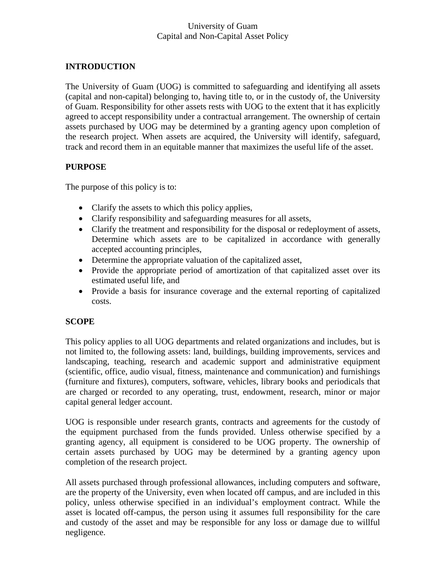## **INTRODUCTION**

The University of Guam (UOG) is committed to safeguarding and identifying all assets (capital and non-capital) belonging to, having title to, or in the custody of, the University of Guam. Responsibility for other assets rests with UOG to the extent that it has explicitly agreed to accept responsibility under a contractual arrangement. The ownership of certain assets purchased by UOG may be determined by a granting agency upon completion of the research project. When assets are acquired, the University will identify, safeguard, track and record them in an equitable manner that maximizes the useful life of the asset.

### **PURPOSE**

The purpose of this policy is to:

- Clarify the assets to which this policy applies,
- Clarify responsibility and safeguarding measures for all assets,
- Clarify the treatment and responsibility for the disposal or redeployment of assets, Determine which assets are to be capitalized in accordance with generally accepted accounting principles,
- Determine the appropriate valuation of the capitalized asset,
- Provide the appropriate period of amortization of that capitalized asset over its estimated useful life, and
- Provide a basis for insurance coverage and the external reporting of capitalized costs.

### **SCOPE**

This policy applies to all UOG departments and related organizations and includes, but is not limited to, the following assets: land, buildings, building improvements, services and landscaping, teaching, research and academic support and administrative equipment (scientific, office, audio visual, fitness, maintenance and communication) and furnishings (furniture and fixtures), computers, software, vehicles, library books and periodicals that are charged or recorded to any operating, trust, endowment, research, minor or major capital general ledger account.

UOG is responsible under research grants, contracts and agreements for the custody of the equipment purchased from the funds provided. Unless otherwise specified by a granting agency, all equipment is considered to be UOG property. The ownership of certain assets purchased by UOG may be determined by a granting agency upon completion of the research project.

All assets purchased through professional allowances, including computers and software, are the property of the University, even when located off campus, and are included in this policy, unless otherwise specified in an individual's employment contract. While the asset is located off-campus, the person using it assumes full responsibility for the care and custody of the asset and may be responsible for any loss or damage due to willful negligence.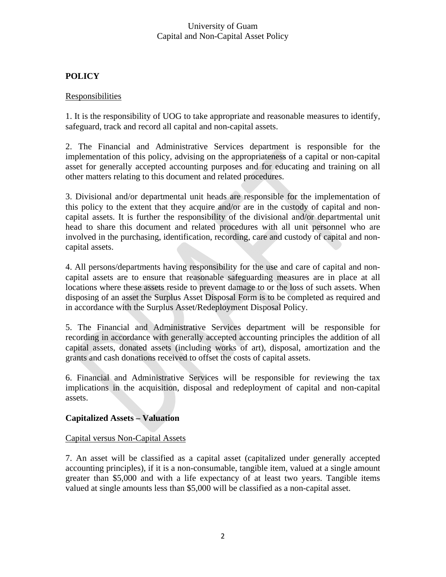# **POLICY**

## Responsibilities

1. It is the responsibility of UOG to take appropriate and reasonable measures to identify, safeguard, track and record all capital and non-capital assets.

2. The Financial and Administrative Services department is responsible for the implementation of this policy, advising on the appropriateness of a capital or non-capital asset for generally accepted accounting purposes and for educating and training on all other matters relating to this document and related procedures.

3. Divisional and/or departmental unit heads are responsible for the implementation of this policy to the extent that they acquire and/or are in the custody of capital and noncapital assets. It is further the responsibility of the divisional and/or departmental unit head to share this document and related procedures with all unit personnel who are involved in the purchasing, identification, recording, care and custody of capital and noncapital assets.

4. All persons/departments having responsibility for the use and care of capital and noncapital assets are to ensure that reasonable safeguarding measures are in place at all locations where these assets reside to prevent damage to or the loss of such assets. When disposing of an asset the Surplus Asset Disposal Form is to be completed as required and in accordance with the Surplus Asset/Redeployment Disposal Policy.

5. The Financial and Administrative Services department will be responsible for recording in accordance with generally accepted accounting principles the addition of all capital assets, donated assets (including works of art), disposal, amortization and the grants and cash donations received to offset the costs of capital assets.

6. Financial and Administrative Services will be responsible for reviewing the tax implications in the acquisition, disposal and redeployment of capital and non-capital assets.

### **Capitalized Assets – Valuation**

### Capital versus Non-Capital Assets

7. An asset will be classified as a capital asset (capitalized under generally accepted accounting principles), if it is a non-consumable, tangible item, valued at a single amount greater than \$5,000 and with a life expectancy of at least two years. Tangible items valued at single amounts less than \$5,000 will be classified as a non-capital asset.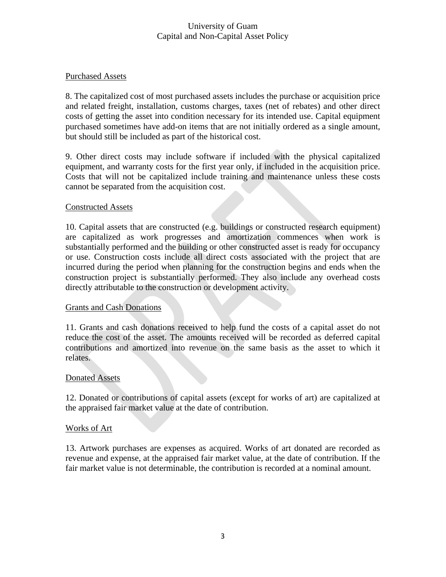### Purchased Assets

8. The capitalized cost of most purchased assets includes the purchase or acquisition price and related freight, installation, customs charges, taxes (net of rebates) and other direct costs of getting the asset into condition necessary for its intended use. Capital equipment purchased sometimes have add-on items that are not initially ordered as a single amount, but should still be included as part of the historical cost.

9. Other direct costs may include software if included with the physical capitalized equipment, and warranty costs for the first year only, if included in the acquisition price. Costs that will not be capitalized include training and maintenance unless these costs cannot be separated from the acquisition cost.

### Constructed Assets

10. Capital assets that are constructed (e.g. buildings or constructed research equipment) are capitalized as work progresses and amortization commences when work is substantially performed and the building or other constructed asset is ready for occupancy or use. Construction costs include all direct costs associated with the project that are incurred during the period when planning for the construction begins and ends when the construction project is substantially performed. They also include any overhead costs directly attributable to the construction or development activity.

#### Grants and Cash Donations

11. Grants and cash donations received to help fund the costs of a capital asset do not reduce the cost of the asset. The amounts received will be recorded as deferred capital contributions and amortized into revenue on the same basis as the asset to which it relates.

#### Donated Assets

12. Donated or contributions of capital assets (except for works of art) are capitalized at the appraised fair market value at the date of contribution.

#### Works of Art

13. Artwork purchases are expenses as acquired. Works of art donated are recorded as revenue and expense, at the appraised fair market value, at the date of contribution. If the fair market value is not determinable, the contribution is recorded at a nominal amount.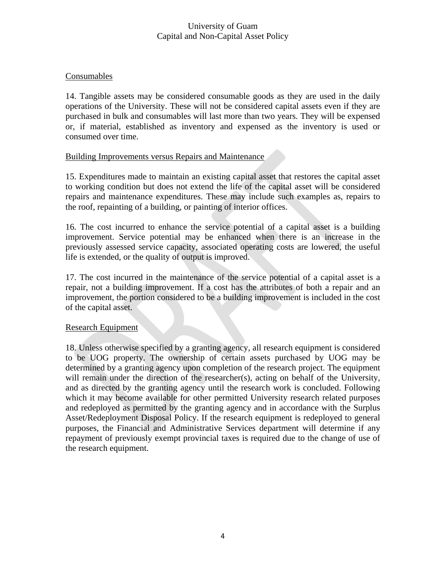### Consumables

14. Tangible assets may be considered consumable goods as they are used in the daily operations of the University. These will not be considered capital assets even if they are purchased in bulk and consumables will last more than two years. They will be expensed or, if material, established as inventory and expensed as the inventory is used or consumed over time.

### Building Improvements versus Repairs and Maintenance

15. Expenditures made to maintain an existing capital asset that restores the capital asset to working condition but does not extend the life of the capital asset will be considered repairs and maintenance expenditures. These may include such examples as, repairs to the roof, repainting of a building, or painting of interior offices.

16. The cost incurred to enhance the service potential of a capital asset is a building improvement. Service potential may be enhanced when there is an increase in the previously assessed service capacity, associated operating costs are lowered, the useful life is extended, or the quality of output is improved.

17. The cost incurred in the maintenance of the service potential of a capital asset is a repair, not a building improvement. If a cost has the attributes of both a repair and an improvement, the portion considered to be a building improvement is included in the cost of the capital asset.

#### Research Equipment

18. Unless otherwise specified by a granting agency, all research equipment is considered to be UOG property. The ownership of certain assets purchased by UOG may be determined by a granting agency upon completion of the research project. The equipment will remain under the direction of the researcher(s), acting on behalf of the University, and as directed by the granting agency until the research work is concluded. Following which it may become available for other permitted University research related purposes and redeployed as permitted by the granting agency and in accordance with the Surplus Asset/Redeployment Disposal Policy. If the research equipment is redeployed to general purposes, the Financial and Administrative Services department will determine if any repayment of previously exempt provincial taxes is required due to the change of use of the research equipment.